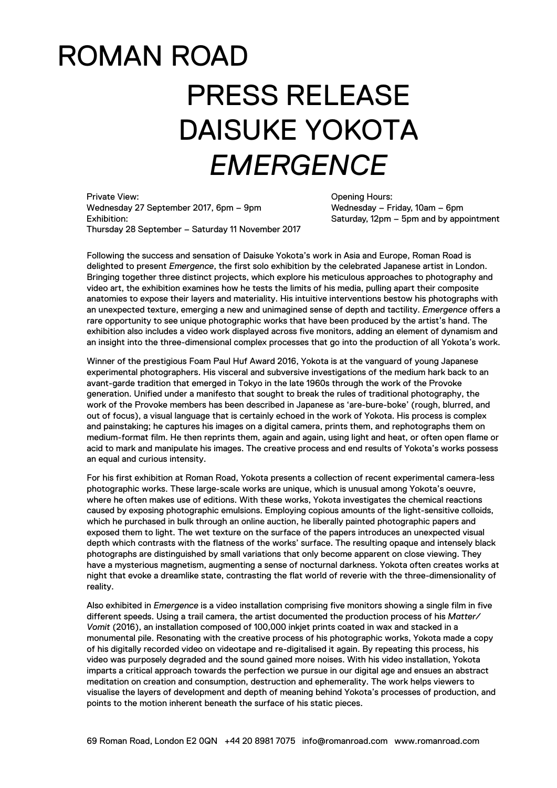# ROMAN ROAD PRESS RELEASE DAISUKE YOKOTA  $EMERGENCE$

Private View: Wednesday 27 September 2017, 6pm - 9pm Exhibition: Thursday 28 September - Saturday 11 November 2017 Opening Hours: Wednesday – Friday, 10am – 6pm Saturday, 12pm – 5pm and by appointment

Following the success and sensation of Daisuke Yokota's work in Asia and Europe, Roman Road is delighted to present *Emergence*, the first solo exhibition by the celebrated Japanese artist in London. Bringing together three distinct projects, which explore his meticulous approaches to photography and video art, the exhibition examines how he tests the limits of his media, pulling apart their composite anatomies to expose their layers and materiality. His intuitive interventions bestow his photographs with an unexpected texture, emerging a new and unimagined sense of depth and tactility. *Emergence* offers a rare opportunity to see unique photographic works that have been produced by the artist's hand. The exhibition also includes a video work displayed across five monitors, adding an element of dynamism and an insight into the three-dimensional complex processes that go into the production of all Yokota's work.

Winner of the prestigious Foam Paul Huf Award 2016, Yokota is at the vanguard of young Japanese experimental photographers. His visceral and subversive investigations of the medium hark back to an avant-garde tradition that emerged in Tokyo in the late 1960s through the work of the Provoke generation. Unified under a manifesto that sought to break the rules of traditional photography, the work of the Provoke members has been described in Japanese as 'are-bure-boke' (rough, blurred, and out of focus), a visual language that is certainly echoed in the work of Yokota. His process is complex and painstaking; he captures his images on a digital camera, prints them, and rephotographs them on medium-format film. He then reprints them, again and again, using light and heat, or often open flame or acid to mark and manipulate his images. The creative process and end results of Yokota's works possess an equal and curious intensity.

For his first exhibition at Roman Road, Yokota presents a collection of recent experimental camera-less photographic works. These large-scale works are unique, which is unusual among Yokota's oeuvre, where he often makes use of editions. With these works, Yokota investigates the chemical reactions caused by exposing photographic emulsions. Employing copious amounts of the light-sensitive colloids, which he purchased in bulk through an online auction, he liberally painted photographic papers and exposed them to light. The wet texture on the surface of the papers introduces an unexpected visual depth which contrasts with the flatness of the works' surface. The resulting opaque and intensely black photographs are distinguished by small variations that only become apparent on close viewing. They have a mysterious magnetism, augmenting a sense of nocturnal darkness, Yokota often creates works at night that evoke a dreamlike state, contrasting the flat world of reverie with the three-dimensionality of reality.

Also exhibited in *Emergence* is a video installation comprising five monitors showing a single film in five different speeds. Using a trail camera, the artist documented the production process of his Matter/ Vomit (2016), an installation composed of 100,000 inkjet prints coated in wax and stacked in a monumental pile. Resonating with the creative process of his photographic works, Yokota made a copy of his digitally recorded video on videotape and re-digitalised it again. By repeating this process, his video was purposely degraded and the sound gained more noises. With his video installation, Yokota imparts a critical approach towards the perfection we pursue in our digital age and ensues an abstract meditation on creation and consumption, destruction and ephemerality. The work helps viewers to visualise the layers of development and depth of meaning behind Yokota's processes of production, and points to the motion inherent beneath the surface of his static pieces.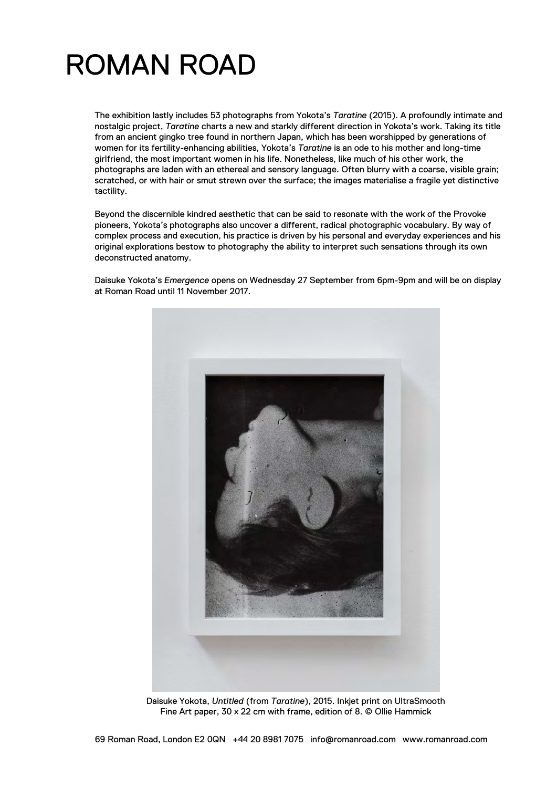## ROMAN ROAD

The exhibition lastly includes 53 photographs from Yokota's Taratine (2015). A profoundly intimate and nostalgic project, Taratine charts a new and starkly different direction in Yokota's work. Taking its title from an ancient gingko tree found in northern Japan, which has been worshipped by generations of women for its fertility-enhancing abilities, Yokota's Taratine is an ode to his mother and long-time girlfriend, the most important women in his life. Nonetheless, like much of his other work, the photographs are laden with an ethereal and sensory language. Often blurry with a coarse, visible grain; scratched, or with hair or smut strewn over the surface; the images materialise a fragile yet distinctive tactility.

Beyond the discernible kindred aesthetic that can be said to resonate with the work of the Provoke pioneers, Yokota's photographs also uncover a different, radical photographic vocabulary. By way of complex process and execution, his practice is driven by his personal and everyday experiences and his original explorations bestow to photography the ability to interpret such sensations through its own deconstructed anatomy.

Daisuke Yokota's Emergence opens on Wednesday 27 September from 6pm-9pm and will be on display at Roman Road until 11 November 2017.



Daisuke Yokota, Untitled (from Taratine), 2015. Inkjet print on UltraSmooth Fine Art paper,  $30 \times 22$  cm with frame, edition of 8.  $\odot$  Ollie Hammick